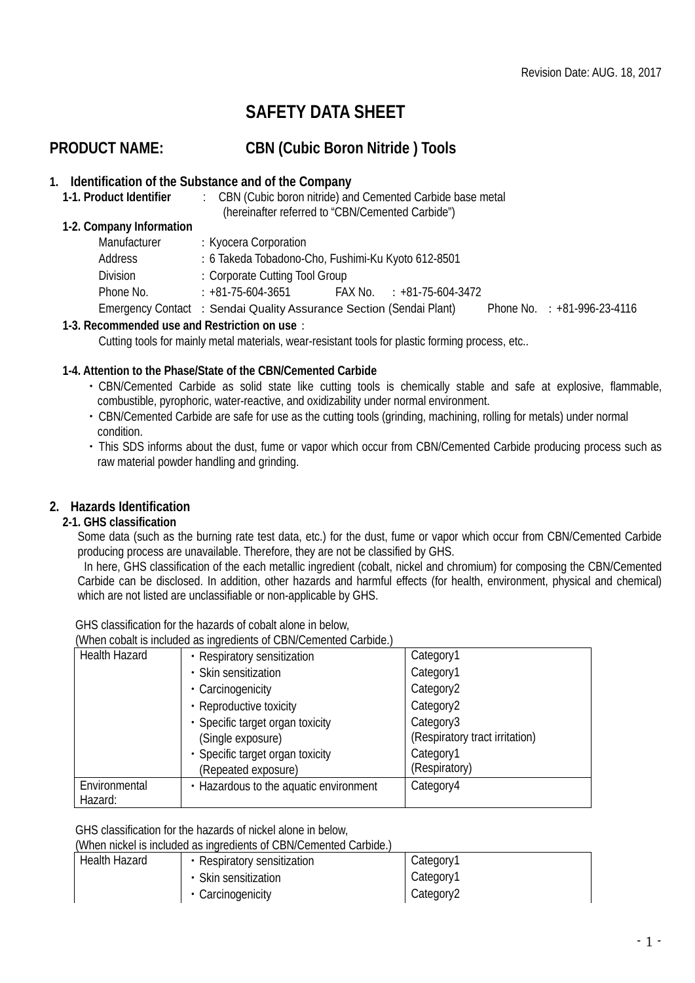# **SAFETY DATA SHEET**

# **PRODUCT NAME: CBN (Cubic Boron Nitride ) Tools**

# **1. Identification of the Substance and of the Company**

1. CBN (Cubic boron nitride) and Cemented Carbide base metal (hereinafter referred to "CBN/Cemented Carbide")

#### **1-2. Company Information**

| Manufacturer | : Kyocera Corporation                                               |  |                             |                                  |
|--------------|---------------------------------------------------------------------|--|-----------------------------|----------------------------------|
| Address      | : 6 Takeda Tobadono-Cho, Fushimi-Ku Kyoto 612-8501                  |  |                             |                                  |
| Division     | : Corporate Cutting Tool Group                                      |  |                             |                                  |
| Phone No.    | $: +81 - 75 - 604 - 3651$                                           |  | $FAX No. : +81-75-604-3472$ |                                  |
|              | Emergency Contact : Sendai Quality Assurance Section (Sendai Plant) |  |                             | Phone No. $\div$ +81-996-23-4116 |

#### **1-3. Recommended use and Restriction on use**:

Cutting tools for mainly metal materials, wear-resistant tools for plastic forming process, etc..

#### **1-4. Attention to the Phase/State of the CBN/Cemented Carbide**

- ・CBN/Cemented Carbide as solid state like cutting tools is chemically stable and safe at explosive, flammable, combustible, pyrophoric, water-reactive, and oxidizability under normal environment.
- ・CBN/Cemented Carbide are safe for use as the cutting tools (grinding, machining, rolling for metals) under normal condition.
- ・This SDS informs about the dust, fume or vapor which occur from CBN/Cemented Carbide producing process such as raw material powder handling and grinding.

# **2. Hazards Identification**

#### **2-1. GHS classification**

Some data (such as the burning rate test data, etc.) for the dust, fume or vapor which occur from CBN/Cemented Carbide producing process are unavailable. Therefore, they are not be classified by GHS.

In here, GHS classification of the each metallic ingredient (cobalt, nickel and chromium) for composing the CBN/Cemented Carbide can be disclosed. In addition, other hazards and harmful effects (for health, environment, physical and chemical) which are not listed are unclassifiable or non-applicable by GHS.

GHS classification for the hazards of cobalt alone in below,

(When cobalt is included as ingredients of CBN/Cemented Carbide.)

|                      | <u>WITCH CODUIT IS INCIDENCY AS INJECTIONS OF CONVECTIONICA CARDIACT</u> |                                |
|----------------------|--------------------------------------------------------------------------|--------------------------------|
| <b>Health Hazard</b> | • Respiratory sensitization                                              | Category1                      |
|                      | • Skin sensitization                                                     | Category1                      |
| • Carcinogenicity    |                                                                          | Category2                      |
|                      | • Reproductive toxicity                                                  | Category2                      |
|                      | • Specific target organ toxicity                                         | Category3                      |
|                      | (Single exposure)                                                        | (Respiratory tract irritation) |
|                      | • Specific target organ toxicity                                         | Category1                      |
|                      | (Repeated exposure)                                                      | (Respiratory)                  |
| Environmental        | • Hazardous to the aquatic environment                                   | Category4                      |
| Hazard:              |                                                                          |                                |

#### GHS classification for the hazards of nickel alone in below,

(When nickel is included as ingredients of CBN/Cemented Carbide.)

| Health Hazard | • Respiratory sensitization | Category1 |  |  |  |
|---------------|-----------------------------|-----------|--|--|--|
|               | • Skin sensitization        | Category1 |  |  |  |
|               | • Carcinogenicity           | Category2 |  |  |  |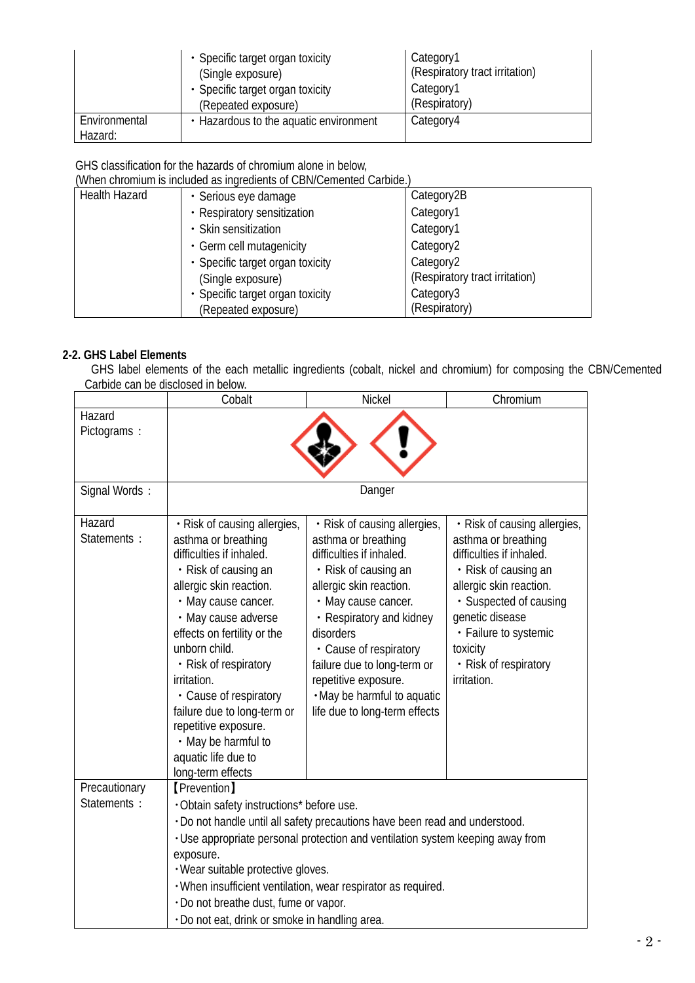|                          | • Specific target organ toxicity<br>(Single exposure)<br>• Specific target organ toxicity<br>(Repeated exposure) | Category1<br>(Respiratory tract irritation)<br>Category1<br>(Respiratory) |
|--------------------------|------------------------------------------------------------------------------------------------------------------|---------------------------------------------------------------------------|
| Environmental<br>Hazard: | • Hazardous to the aquatic environment                                                                           | Category4                                                                 |

# GHS classification for the hazards of chromium alone in below,

(When chromium is included as ingredients of CBN/Cemented Carbide.)

| <b>Health Hazard</b> | · Serious eye damage             | Category2B                     |
|----------------------|----------------------------------|--------------------------------|
|                      | • Respiratory sensitization      | Category1                      |
|                      | • Skin sensitization             | Category1                      |
|                      | • Germ cell mutagenicity         | Category <sub>2</sub>          |
|                      | • Specific target organ toxicity | Category <sub>2</sub>          |
|                      | (Single exposure)                | (Respiratory tract irritation) |
|                      | · Specific target organ toxicity | Category3                      |
|                      | (Repeated exposure)              | (Respiratory)                  |

# **2-2. GHS Label Elements**

GHS label elements of the each metallic ingredients (cobalt, nickel and chromium) for composing the CBN/Cemented Carbide can be disclosed in below.

|                              | Cobalt                                                                                                                                                                                                                                                                                                                                                                                                                                           | Nickel                                                                                                                                                                                                                                                                                                                                              | Chromium                                                                                                                                                                                                                                                     |
|------------------------------|--------------------------------------------------------------------------------------------------------------------------------------------------------------------------------------------------------------------------------------------------------------------------------------------------------------------------------------------------------------------------------------------------------------------------------------------------|-----------------------------------------------------------------------------------------------------------------------------------------------------------------------------------------------------------------------------------------------------------------------------------------------------------------------------------------------------|--------------------------------------------------------------------------------------------------------------------------------------------------------------------------------------------------------------------------------------------------------------|
| Hazard<br>Pictograms:        |                                                                                                                                                                                                                                                                                                                                                                                                                                                  |                                                                                                                                                                                                                                                                                                                                                     |                                                                                                                                                                                                                                                              |
| Signal Words:                |                                                                                                                                                                                                                                                                                                                                                                                                                                                  | Danger                                                                                                                                                                                                                                                                                                                                              |                                                                                                                                                                                                                                                              |
| Hazard<br>Statements :       | · Risk of causing allergies,<br>asthma or breathing<br>difficulties if inhaled.<br>• Risk of causing an<br>allergic skin reaction.<br>• May cause cancer.<br>• May cause adverse<br>effects on fertility or the<br>unborn child.<br>• Risk of respiratory<br>irritation.<br>• Cause of respiratory<br>failure due to long-term or<br>repetitive exposure.<br>• May be harmful to<br>aquatic life due to<br>long-term effects                     | · Risk of causing allergies,<br>asthma or breathing<br>difficulties if inhaled.<br>• Risk of causing an<br>allergic skin reaction.<br>• May cause cancer.<br>• Respiratory and kidney<br>disorders<br>• Cause of respiratory<br>failure due to long-term or<br>repetitive exposure.<br>. May be harmful to aquatic<br>life due to long-term effects | · Risk of causing allergies,<br>asthma or breathing<br>difficulties if inhaled.<br>• Risk of causing an<br>allergic skin reaction.<br>· Suspected of causing<br>genetic disease<br>• Failure to systemic<br>toxicity<br>• Risk of respiratory<br>irritation. |
| Precautionary<br>Statements: | <b>[Prevention]</b><br>. Obtain safety instructions* before use.<br>. Do not handle until all safety precautions have been read and understood.<br>. Use appropriate personal protection and ventilation system keeping away from<br>exposure.<br>· Wear suitable protective gloves.<br>· When insufficient ventilation, wear respirator as required.<br>· Do not breathe dust, fume or vapor.<br>· Do not eat, drink or smoke in handling area. |                                                                                                                                                                                                                                                                                                                                                     |                                                                                                                                                                                                                                                              |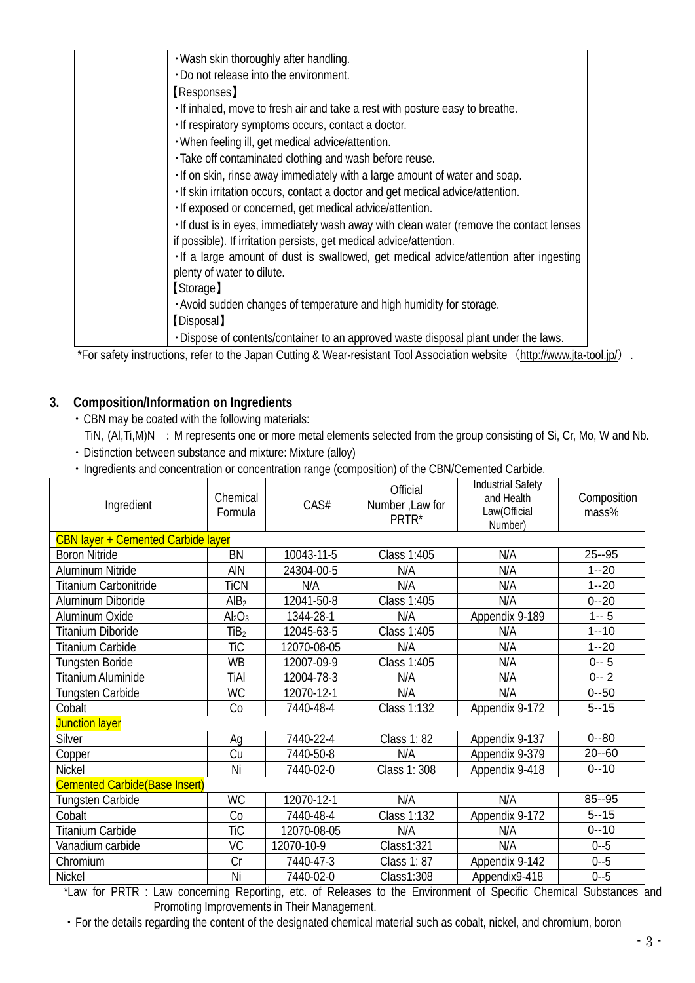| . Wash skin thoroughly after handling.<br>. Do not release into the environment.<br>(Responses)<br>. If inhaled, move to fresh air and take a rest with posture easy to breathe.<br>· If respiratory symptoms occurs, contact a doctor.<br>. When feeling ill, get medical advice/attention. |
|----------------------------------------------------------------------------------------------------------------------------------------------------------------------------------------------------------------------------------------------------------------------------------------------|
|                                                                                                                                                                                                                                                                                              |
|                                                                                                                                                                                                                                                                                              |
|                                                                                                                                                                                                                                                                                              |
|                                                                                                                                                                                                                                                                                              |
|                                                                                                                                                                                                                                                                                              |
|                                                                                                                                                                                                                                                                                              |
| · Take off contaminated clothing and wash before reuse.                                                                                                                                                                                                                                      |
| . If on skin, rinse away immediately with a large amount of water and soap.                                                                                                                                                                                                                  |
| · If skin irritation occurs, contact a doctor and get medical advice/attention.                                                                                                                                                                                                              |
| · If exposed or concerned, get medical advice/attention.                                                                                                                                                                                                                                     |
| . If dust is in eyes, immediately wash away with clean water (remove the contact lenses                                                                                                                                                                                                      |
| if possible). If irritation persists, get medical advice/attention.                                                                                                                                                                                                                          |
| . If a large amount of dust is swallowed, get medical advice/attention after ingesting                                                                                                                                                                                                       |
| plenty of water to dilute.                                                                                                                                                                                                                                                                   |
| [Storage]                                                                                                                                                                                                                                                                                    |
| . Avoid sudden changes of temperature and high humidity for storage.                                                                                                                                                                                                                         |
| [Disposal]                                                                                                                                                                                                                                                                                   |
| . Dispose of contents/container to an approved waste disposal plant under the laws.                                                                                                                                                                                                          |

\*For safety instructions, refer to the Japan Cutting & Wear-resistant Tool Association website (<http://www.jta-tool.jp/>).

# **3. Composition/Information on Ingredients**

・CBN may be coated with the following materials:

TiN, (Al, Ti, M)N : M represents one or more metal elements selected from the group consisting of Si, Cr, Mo, W and Nb. ・Distinction between substance and mixture: Mixture (alloy)

・Ingredients and concentration or concentration range (composition) of the CBN/Cemented Carbide.

| Ingredient                                | Chemical<br>Formula            | CAS#        | <b>Official</b><br>Number, Law for<br>PRTR* | <b>Industrial Safety</b><br>and Health<br>Law(Official<br>Number) | Composition<br>mass% |
|-------------------------------------------|--------------------------------|-------------|---------------------------------------------|-------------------------------------------------------------------|----------------------|
| <b>CBN layer + Cemented Carbide layer</b> |                                |             |                                             |                                                                   |                      |
| <b>Boron Nitride</b>                      | <b>BN</b>                      | 10043-11-5  | Class 1:405                                 | N/A                                                               | $25 - 95$            |
| Aluminum Nitride                          | AIN                            | 24304-00-5  | N/A                                         | N/A                                                               | $1 - 20$             |
| Titanium Carbonitride                     | <b>TiCN</b>                    | N/A         | N/A                                         | N/A                                                               | $1 - 20$             |
| Aluminum Diboride                         | AlB <sub>2</sub>               | 12041-50-8  | Class 1:405                                 | N/A                                                               | $0 - 20$             |
| Aluminum Oxide                            | Al <sub>2</sub> O <sub>3</sub> | 1344-28-1   | N/A                                         | Appendix 9-189                                                    | $1 - 5$              |
| Titanium Diboride                         | TiB <sub>2</sub>               | 12045-63-5  | Class 1:405                                 | N/A                                                               | $1 - 10$             |
| <b>Titanium Carbide</b>                   | <b>TiC</b>                     | 12070-08-05 | N/A                                         | N/A                                                               | $1 - 20$             |
| <b>Tungsten Boride</b>                    | <b>WB</b>                      | 12007-09-9  | Class 1:405                                 | N/A                                                               | $0 - 5$              |
| Titanium Aluminide                        | TiAl                           | 12004-78-3  | N/A                                         | N/A                                                               | $0 - 2$              |
| Tungsten Carbide                          | <b>WC</b>                      | 12070-12-1  | N/A                                         | N/A                                                               | $0 - 50$             |
| Cobalt                                    | Co                             | 7440-48-4   | Class 1:132                                 | Appendix 9-172                                                    | $5 - 15$             |
| <b>Junction layer</b>                     |                                |             |                                             |                                                                   |                      |
| Silver                                    | Ag                             | 7440-22-4   | <b>Class 1:82</b>                           | Appendix 9-137                                                    | $0 - 80$             |
| Copper                                    | Cu                             | 7440-50-8   | N/A                                         | Appendix 9-379                                                    | $20 - 60$            |
| Nickel                                    | Ni                             | 7440-02-0   | Class 1: 308                                | Appendix 9-418                                                    | $0 - 10$             |
| <b>Cemented Carbide (Base Insert)</b>     |                                |             |                                             |                                                                   |                      |
| <b>Tungsten Carbide</b>                   | <b>WC</b>                      | 12070-12-1  | N/A                                         | N/A                                                               | 85--95               |
| Cobalt                                    | Co                             | 7440-48-4   | Class 1:132                                 | Appendix 9-172                                                    | $5 - 15$             |
| <b>Titanium Carbide</b>                   | <b>TiC</b>                     | 12070-08-05 | N/A                                         | N/A                                                               | $0 - 10$             |
| Vanadium carbide                          | VC                             | 12070-10-9  | Class1:321                                  | N/A                                                               | $0 - 5$              |
| Chromium                                  | $\overline{\text{Cr}}$         | 7440-47-3   | Class 1:87                                  | Appendix 9-142                                                    | $0 - 5$              |
| Nickel<br>$\sim$ $\sim$ $\sim$ $\sim$     | Ni                             | 7440-02-0   | Class1:308                                  | Appendix9-418                                                     | $0 - 5$<br>$\sim$    |

\*Law for PRTR : Law concerning Reporting, etc. of Releases to the Environment of Specific Chemical Substances and Promoting Improvements in Their Management.

・For the details regarding the content of the designated chemical material such as cobalt, nickel, and chromium, boron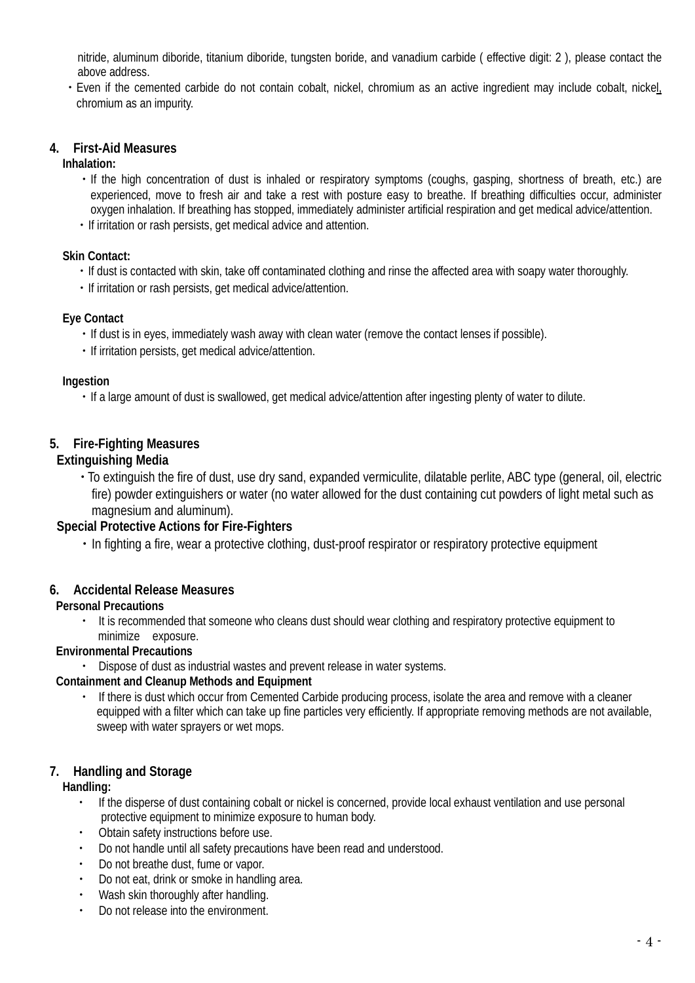nitride, aluminum diboride, titanium diboride, tungsten boride, and vanadium carbide ( effective digit: 2 ), please contact the above address.

・Even if the cemented carbide do not contain cobalt, nickel, chromium as an active ingredient may include cobalt, nickel, chromium as an impurity.

# **4. First-Aid Measures**

**Inhalation:**

- ・If the high concentration of dust is inhaled or respiratory symptoms (coughs, gasping, shortness of breath, etc.) are experienced, move to fresh air and take a rest with posture easy to breathe. If breathing difficulties occur, administer oxygen inhalation. If breathing has stopped, immediately administer artificial respiration and get medical advice/attention.
- ・If irritation or rash persists, get medical advice and attention.

#### **Skin Contact:**

- ・If dust is contacted with skin, take off contaminated clothing and rinse the affected area with soapy water thoroughly.
- ・If irritation or rash persists, get medical advice/attention.

# **Eye Contact**

- ・If dust is in eyes, immediately wash away with clean water (remove the contact lenses if possible).
- ・If irritation persists, get medical advice/attention.

#### **Ingestion**

・If a large amount of dust is swallowed, get medical advice/attention after ingesting plenty of water to dilute.

# **5. Fire-Fighting Measures**

# **Extinguishing Media**

・To extinguish the fire of dust, use dry sand, expanded vermiculite, dilatable perlite, ABC type (general, oil, electric fire) powder extinguishers or water (no water allowed for the dust containing cut powders of light metal such as magnesium and aluminum).

# **Special Protective Actions for Fire-Fighters**

・In fighting a fire, wear a protective clothing, dust-proof respirator or respiratory protective equipment

# **6. Accidental Release Measures**

# **Personal Precautions**

・ It is recommended that someone who cleans dust should wear clothing and respiratory protective equipment to minimize exposure.

# **Environmental Precautions**

・ Dispose of dust as industrial wastes and prevent release in water systems.

# **Containment and Cleanup Methods and Equipment**

・ If there is dust which occur from Cemented Carbide producing process, isolate the area and remove with a cleaner equipped with a filter which can take up fine particles very efficiently. If appropriate removing methods are not available, sweep with water sprayers or wet mops.

# **7. Handling and Storage**

# **Handling:**

- ・ If the disperse of dust containing cobalt or nickel is concerned, provide local exhaust ventilation and use personal protective equipment to minimize exposure to human body.
- ・ Obtain safety instructions before use.
- ・ Do not handle until all safety precautions have been read and understood.
- Do not breathe dust, fume or vapor.
- Do not eat, drink or smoke in handling area.
- ・ Wash skin thoroughly after handling.
- ・ Do not release into the environment.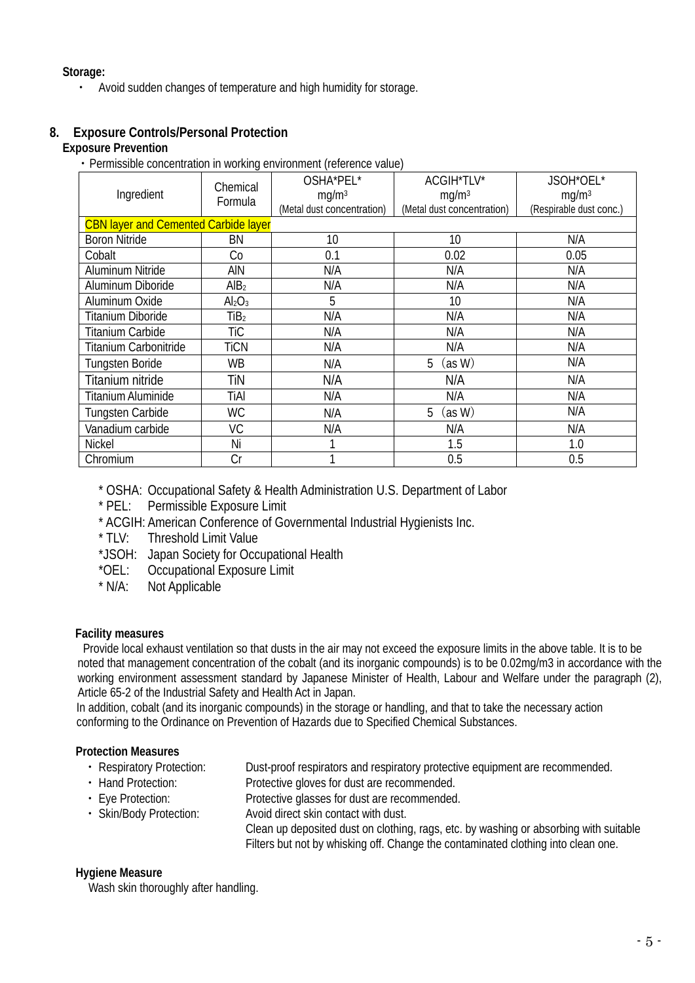**Storage:** 

・ Avoid sudden changes of temperature and high humidity for storage.

# **8. Exposure Controls/Personal Protection**

# **Exposure Prevention**

・Permissible concentration in working environment (reference value)

| Ingredient                | Chemical<br>Formula                         | OSHA*PEL*<br>mg/m <sup>3</sup><br>(Metal dust concentration) | ACGIH*TLV*<br>mg/m <sup>3</sup><br>(Metal dust concentration) | JSOH*OEL*<br>mg/m <sup>3</sup><br>(Respirable dust conc.) |  |  |
|---------------------------|---------------------------------------------|--------------------------------------------------------------|---------------------------------------------------------------|-----------------------------------------------------------|--|--|
|                           | <b>CBN layer and Cemented Carbide layer</b> |                                                              |                                                               |                                                           |  |  |
| <b>Boron Nitride</b>      | BN                                          | 10                                                           | 10                                                            | N/A                                                       |  |  |
| Cobalt                    | Co                                          | 0.1                                                          | 0.02                                                          | 0.05                                                      |  |  |
| Aluminum Nitride          | ain                                         | N/A                                                          | N/A                                                           | N/A                                                       |  |  |
| Aluminum Diboride         | AlB <sub>2</sub>                            | N/A                                                          | N/A                                                           | N/A                                                       |  |  |
| Aluminum Oxide            | Al <sub>2</sub> O <sub>3</sub>              | 5                                                            | 10                                                            | N/A                                                       |  |  |
| Titanium Diboride         | TiB <sub>2</sub>                            | N/A                                                          | N/A                                                           | N/A                                                       |  |  |
| Titanium Carbide          | TiC                                         | N/A                                                          | N/A                                                           | N/A                                                       |  |  |
| Titanium Carbonitride     | <b>TiCN</b>                                 | N/A                                                          | N/A                                                           | N/A                                                       |  |  |
| <b>Tungsten Boride</b>    | <b>WB</b>                                   | N/A                                                          | (as W)<br>5                                                   | N/A                                                       |  |  |
| Titanium nitride          | TiN                                         | N/A                                                          | N/A                                                           | N/A                                                       |  |  |
| <b>Titanium Aluminide</b> | TiAl                                        | N/A                                                          | N/A                                                           | N/A                                                       |  |  |
| <b>Tungsten Carbide</b>   | <b>WC</b>                                   | N/A                                                          | (as W)<br>5                                                   | N/A                                                       |  |  |
| Vanadium carbide          | VC                                          | N/A                                                          | N/A                                                           | N/A                                                       |  |  |
| <b>Nickel</b>             | Ni                                          |                                                              | 1.5                                                           | 1.0                                                       |  |  |
| Chromium                  | Cr                                          |                                                              | 0.5                                                           | 0.5                                                       |  |  |

\* OSHA: Occupational Safety & Health Administration U.S. Department of Labor

- \* PEL: Permissible Exposure Limit
- \* ACGIH: American Conference of Governmental Industrial Hygienists Inc.
- Threshold Limit Value
- \*JSOH: Japan Society for Occupational Health
- \*OEL: Occupational Exposure Limit
- \* N/A: Not Applicable

# **Facility measures**

Provide local exhaust ventilation so that dusts in the air may not exceed the exposure limits in the above table. It is to be noted that management concentration of the cobalt (and its inorganic compounds) is to be 0.02mg/m3 in accordance with the working environment assessment standard by Japanese Minister of Health, Labour and Welfare under the paragraph (2), Article 65-2 of the Industrial Safety and Health Act in Japan.

In addition, cobalt (and its inorganic compounds) in the storage or handling, and that to take the necessary action conforming to the Ordinance on Prevention of Hazards due to Specified Chemical Substances.

# **Protection Measures**

- ・ Respiratory Protection: Dust-proof respirators and respiratory protective equipment are recommended.
- ・ Hand Protection: Protective gloves for dust are recommended.
- ・ Eye Protection: Protective glasses for dust are recommended.
- ・ Skin/Body Protection: Avoid direct skin contact with dust.

Clean up deposited dust on clothing, rags, etc. by washing or absorbing with suitable Filters but not by whisking off. Change the contaminated clothing into clean one.

# **Hygiene Measure**

Wash skin thoroughly after handling.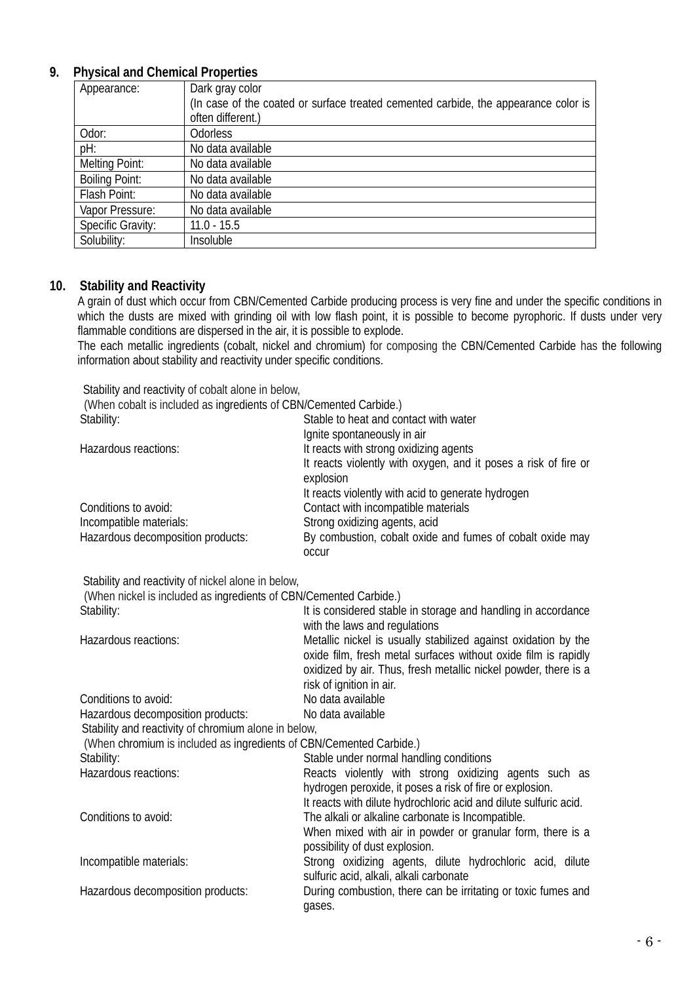# **9. Physical and Chemical Properties**

| Appearance:              | Dark gray color                                                                     |
|--------------------------|-------------------------------------------------------------------------------------|
|                          | (In case of the coated or surface treated cemented carbide, the appearance color is |
|                          | often different.)                                                                   |
| Odor:                    | Odorless                                                                            |
| pH:                      | No data available                                                                   |
| <b>Melting Point:</b>    | No data available                                                                   |
| <b>Boiling Point:</b>    | No data available                                                                   |
| Flash Point:             | No data available                                                                   |
| Vapor Pressure:          | No data available                                                                   |
| <b>Specific Gravity:</b> | $11.0 - 15.5$                                                                       |
| Solubility:              | Insoluble                                                                           |

#### **10. Stability and Reactivity**

A grain of dust which occur from CBN/Cemented Carbide producing process is very fine and under the specific conditions in which the dusts are mixed with grinding oil with low flash point, it is possible to become pyrophoric. If dusts under very flammable conditions are dispersed in the air, it is possible to explode.

The each metallic ingredients (cobalt, nickel and chromium) for composing the CBN/Cemented Carbide has the following information about stability and reactivity under specific conditions.

Stability and reactivity of cobalt alone in below,

| (When cobalt is included as ingredients of CBN/Cemented Carbide.)   |                                                                                                |
|---------------------------------------------------------------------|------------------------------------------------------------------------------------------------|
| Stability:                                                          | Stable to heat and contact with water                                                          |
|                                                                     | Ignite spontaneously in air                                                                    |
| Hazardous reactions:                                                | It reacts with strong oxidizing agents                                                         |
|                                                                     | It reacts violently with oxygen, and it poses a risk of fire or                                |
|                                                                     | explosion                                                                                      |
|                                                                     | It reacts violently with acid to generate hydrogen                                             |
| Conditions to avoid:                                                | Contact with incompatible materials                                                            |
| Incompatible materials:                                             | Strong oxidizing agents, acid                                                                  |
| Hazardous decomposition products:                                   | By combustion, cobalt oxide and fumes of cobalt oxide may<br><b>OCCUL</b>                      |
| Stability and reactivity of nickel alone in below,                  |                                                                                                |
| (When nickel is included as ingredients of CBN/Cemented Carbide.)   |                                                                                                |
| Stability:                                                          | It is considered stable in storage and handling in accordance<br>with the laws and regulations |
| Hazardous reactions:                                                | Metallic nickel is usually stabilized against oxidation by the                                 |
|                                                                     | oxide film, fresh metal surfaces without oxide film is rapidly                                 |
|                                                                     | oxidized by air. Thus, fresh metallic nickel powder, there is a                                |
|                                                                     | risk of ignition in air.                                                                       |
| Conditions to avoid:                                                | No data available                                                                              |
| Hazardous decomposition products:                                   | No data available                                                                              |
| Stability and reactivity of chromium alone in below,                |                                                                                                |
| (When chromium is included as ingredients of CBN/Cemented Carbide.) |                                                                                                |
| Stability:                                                          | Stable under normal handling conditions                                                        |
| Hazardous reactions:                                                | Reacts violently with strong oxidizing agents such as                                          |
|                                                                     | hydrogen peroxide, it poses a risk of fire or explosion.                                       |
|                                                                     | It reacts with dilute hydrochloric acid and dilute sulfuric acid.                              |
| Conditions to avoid:                                                | The alkali or alkaline carbonate is Incompatible.                                              |
|                                                                     | When mixed with air in powder or granular form, there is a                                     |
|                                                                     | possibility of dust explosion.                                                                 |
| Incompatible materials:                                             | Strong oxidizing agents, dilute hydrochloric acid, dilute                                      |
|                                                                     | sulfuric acid, alkali, alkali carbonate                                                        |
| Hazardous decomposition products:                                   | During combustion, there can be irritating or toxic fumes and                                  |
|                                                                     | gases.                                                                                         |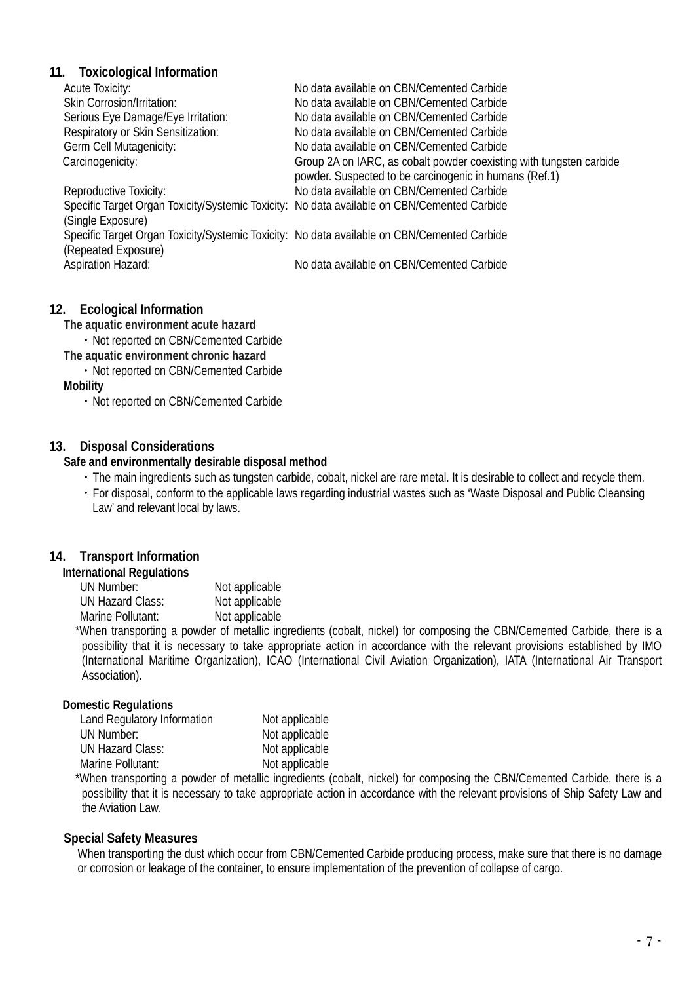#### **11. Toxicological Information**

| <b>Acute Toxicity:</b>                                                                      | No data available on CBN/Cemented Carbide                           |
|---------------------------------------------------------------------------------------------|---------------------------------------------------------------------|
| Skin Corrosion/Irritation:                                                                  | No data available on CBN/Cemented Carbide                           |
| Serious Eye Damage/Eye Irritation:                                                          | No data available on CBN/Cemented Carbide                           |
| Respiratory or Skin Sensitization:                                                          | No data available on CBN/Cemented Carbide                           |
| Germ Cell Mutagenicity:                                                                     | No data available on CBN/Cemented Carbide                           |
| Carcinogenicity:                                                                            | Group 2A on IARC, as cobalt powder coexisting with tungsten carbide |
|                                                                                             | powder. Suspected to be carcinogenic in humans (Ref.1)              |
| Reproductive Toxicity:                                                                      | No data available on CBN/Cemented Carbide                           |
| Specific Target Organ Toxicity/Systemic Toxicity: No data available on CBN/Cemented Carbide |                                                                     |
| (Single Exposure)                                                                           |                                                                     |
| Specific Target Organ Toxicity/Systemic Toxicity: No data available on CBN/Cemented Carbide |                                                                     |
| (Repeated Exposure)                                                                         |                                                                     |
| <b>Aspiration Hazard:</b>                                                                   | No data available on CBN/Cemented Carbide                           |
|                                                                                             |                                                                     |

#### **12. Ecological Information**

**The aquatic environment acute hazard**

・Not reported on CBN/Cemented Carbide **The aquatic environment chronic hazard**

・Not reported on CBN/Cemented Carbide

**Mobility**

・Not reported on CBN/Cemented Carbide

#### **13. Disposal Considerations**

#### **Safe and environmentally desirable disposal method**

- ・The main ingredients such as tungsten carbide, cobalt, nickel are rare metal. It is desirable to collect and recycle them.
- ・For disposal, conform to the applicable laws regarding industrial wastes such as 'Waste Disposal and Public Cleansing Law' and relevant local by laws.

# **14. Transport Information**

#### **International Regulations**

UN Number: Not applicable<br>UN Hazard Class: Not applicable UN Hazard Class: Marine Pollutant: Not applicable

 \*When transporting a powder of metallic ingredients (cobalt, nickel) for composing the CBN/Cemented Carbide, there is a possibility that it is necessary to take appropriate action in accordance with the relevant provisions established by IMO (International Maritime Organization), ICAO (International Civil Aviation Organization), IATA (International Air Transport Association).

#### **Domestic Regulations**

| Land Regulatory Information | Not applicable |
|-----------------------------|----------------|
| UN Number:                  | Not applicable |
| <b>UN Hazard Class:</b>     | Not applicable |
| Marine Pollutant:           | Not applicable |

 \*When transporting a powder of metallic ingredients (cobalt, nickel) for composing the CBN/Cemented Carbide, there is a possibility that it is necessary to take appropriate action in accordance with the relevant provisions of Ship Safety Law and the Aviation Law.

#### **Special Safety Measures**

When transporting the dust which occur from CBN/Cemented Carbide producing process, make sure that there is no damage or corrosion or leakage of the container, to ensure implementation of the prevention of collapse of cargo.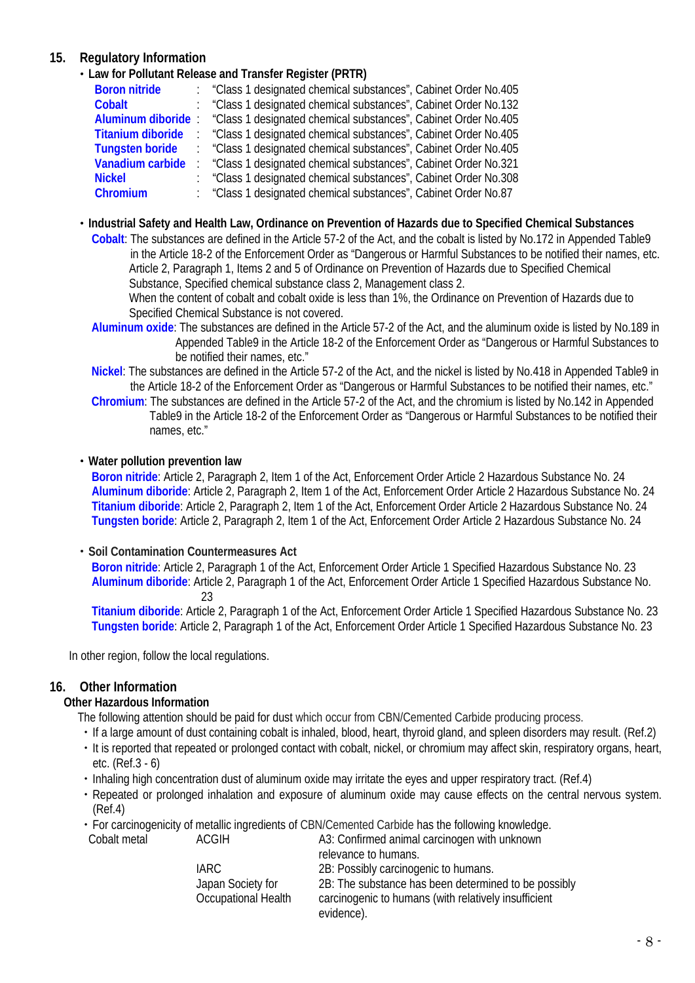# **15. Regulatory Information**

・**Law for Pollutant Release and Transfer Register (PRTR)**

| <b>Boron nitride</b>     | "Class 1 designated chemical substances", Cabinet Order No.405 |
|--------------------------|----------------------------------------------------------------|
| <b>Cobalt</b>            | "Class 1 designated chemical substances", Cabinet Order No.132 |
| <b>Aluminum diboride</b> | "Class 1 designated chemical substances", Cabinet Order No.405 |
| <b>Titanium diboride</b> | "Class 1 designated chemical substances", Cabinet Order No.405 |
| <b>Tungsten boride</b>   | "Class 1 designated chemical substances", Cabinet Order No.405 |
| Vanadium carbide         | "Class 1 designated chemical substances", Cabinet Order No.321 |
| <b>Nickel</b>            | "Class 1 designated chemical substances", Cabinet Order No.308 |
| Chromium                 | "Class 1 designated chemical substances", Cabinet Order No.87  |
|                          |                                                                |

・**Industrial Safety and Health Law, Ordinance on Prevention of Hazards due to Specified Chemical Substances**

**Cobalt**: The substances are defined in the Article 57-2 of the Act, and the cobalt is listed by No.172 in Appended Table9 in the Article 18-2 of the Enforcement Order as "Dangerous or Harmful Substances to be notified their names, etc. Article 2, Paragraph 1, Items 2 and 5 of Ordinance on Prevention of Hazards due to Specified Chemical Substance, Specified chemical substance class 2, Management class 2.

When the content of cobalt and cobalt oxide is less than 1%, the Ordinance on Prevention of Hazards due to Specified Chemical Substance is not covered.

**Aluminum oxide**: The substances are defined in the Article 57-2 of the Act, and the aluminum oxide is listed by No.189 in Appended Table9 in the Article 18-2 of the Enforcement Order as "Dangerous or Harmful Substances to be notified their names, etc."

**Nickel**: The substances are defined in the Article 57-2 of the Act, and the nickel is listed by No.418 in Appended Table9 in the Article 18-2 of the Enforcement Order as "Dangerous or Harmful Substances to be notified their names, etc."

**Chromium**: The substances are defined in the Article 57-2 of the Act, and the chromium is listed by No.142 in Appended Table9 in the Article 18-2 of the Enforcement Order as "Dangerous or Harmful Substances to be notified their names, etc."

#### ・**Water pollution prevention law**

**Boron nitride**: Article 2, Paragraph 2, Item 1 of the Act, Enforcement Order Article 2 Hazardous Substance No. 24 **Aluminum diboride**: Article 2, Paragraph 2, Item 1 of the Act, Enforcement Order Article 2 Hazardous Substance No. 24 **Titanium diboride**: Article 2, Paragraph 2, Item 1 of the Act, Enforcement Order Article 2 Hazardous Substance No. 24 **Tungsten boride**: Article 2, Paragraph 2, Item 1 of the Act, Enforcement Order Article 2 Hazardous Substance No. 24

#### ・**Soil Contamination Countermeasures Act**

**Boron nitride**: Article 2, Paragraph 1 of the Act, Enforcement Order Article 1 Specified Hazardous Substance No. 23 **Aluminum diboride**: Article 2, Paragraph 1 of the Act, Enforcement Order Article 1 Specified Hazardous Substance No. 23

**Titanium diboride**: Article 2, Paragraph 1 of the Act, Enforcement Order Article 1 Specified Hazardous Substance No. 23 **Tungsten boride**: Article 2, Paragraph 1 of the Act, Enforcement Order Article 1 Specified Hazardous Substance No. 23

In other region, follow the local regulations.

# **16. Other Information**

#### **Other Hazardous Information**

The following attention should be paid for dust which occur from CBN/Cemented Carbide producing process.

- ・If a large amount of dust containing cobalt is inhaled, blood, heart, thyroid gland, and spleen disorders may result. (Ref.2) ・It is reported that repeated or prolonged contact with cobalt, nickel, or chromium may affect skin, respiratory organs, heart,
- etc. (Ref.3 6) ・Inhaling high concentration dust of aluminum oxide may irritate the eyes and upper respiratory tract. (Ref.4)
	- ・Repeated or prolonged inhalation and exposure of aluminum oxide may cause effects on the central nervous system. (Ref.4)
	- ・For carcinogenicity of metallic ingredients of CBN/Cemented Carbide has the following knowledge.

| Cobalt metal | ACGIH                                    | A3: Confirmed animal carcinogen with unknown<br>relevance to humans.                                                       |
|--------------|------------------------------------------|----------------------------------------------------------------------------------------------------------------------------|
|              | IARC.                                    | 2B: Possibly carcinogenic to humans.                                                                                       |
|              | Japan Society for<br>Occupational Health | 2B: The substance has been determined to be possibly<br>carcinogenic to humans (with relatively insufficient<br>evidence). |